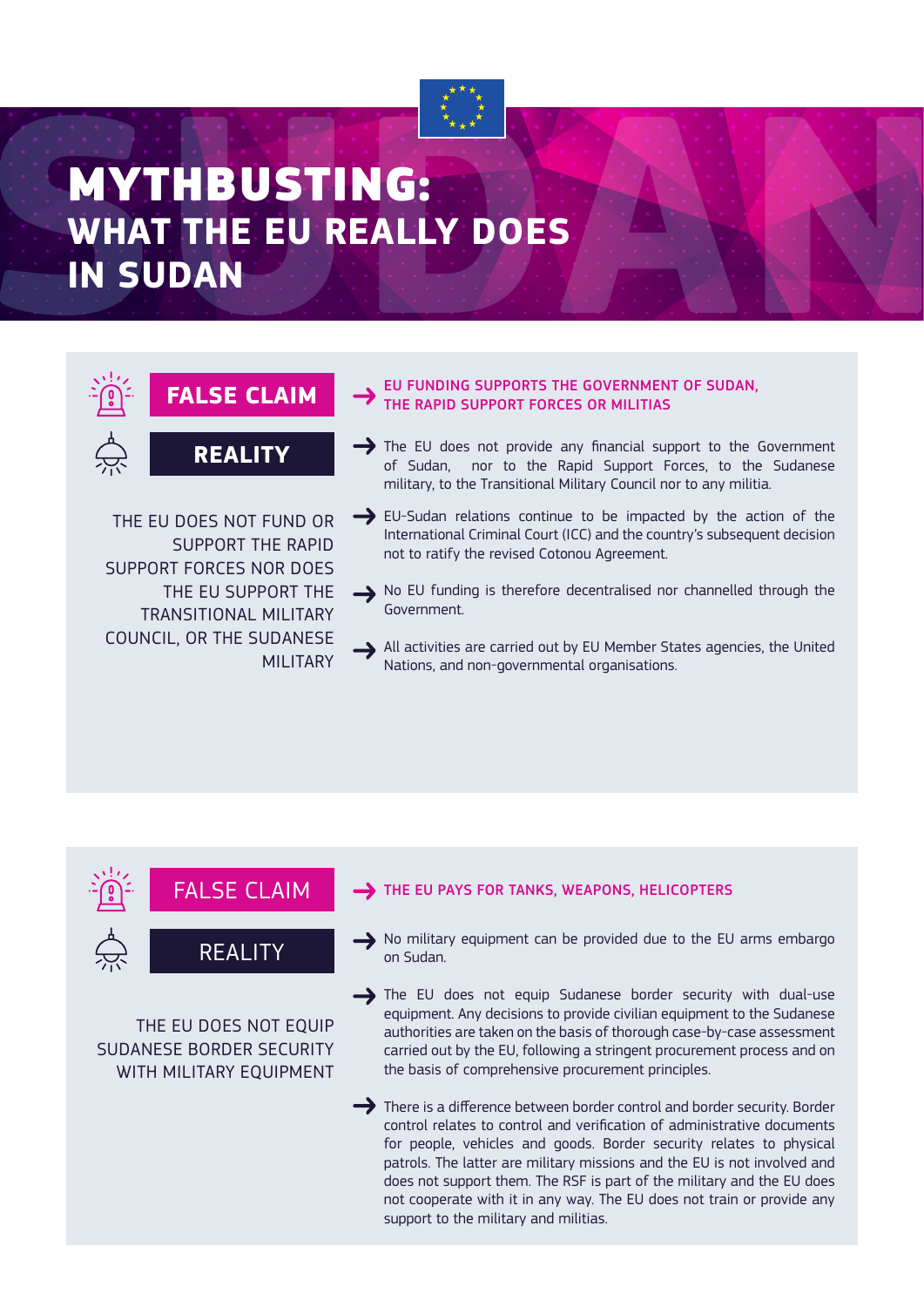## MYTHBUSTING: **WHAT THE EU REALLY DOES IN SUDAN**



THE EU DOES NOT FUND OR SUPPORT THE RAPID SUPPORT FORCES NOR DOES THE EU SUPPORT THE TRANSITIONAL MILITARY COUNCIL, OR THE SUDANESE MILITARY

#### EU FUNDING SUPPORTS THE GOVERNMENT OF SUDAN, THE RAPID SUPPORT FORCES OR MILITIAS

- $\rightarrow$  The EU does not provide any financial support to the Government of Sudan, nor to the Rapid Support Forces, to the Sudanese military, to the Transitional Military Council nor to any militia.
- EU-Sudan relations continue to be impacted by the action of the International Criminal Court (ICC) and the country's subsequent decision not to ratify the revised Cotonou Agreement.
- No EU funding is therefore decentralised nor channelled through the Government.
- All activities are carried out by EU Member States agencies, the United Nations, and non-governmental organisations.

FALSE CLAIM



THE EU DOES NOT EQUIP SUDANESE BORDER SECURITY WITH MILITARY EQUIPMENT

#### THE EU PAYS FOR TANKS, WEAPONS, HELICOPTERS

No military equipment can be provided due to the EU arms embargo on Sudan.

The EU does not equip Sudanese border security with dual-use equipment. Any decisions to provide civilian equipment to the Sudanese authorities are taken on the basis of thorough case-by-case assessment carried out by the EU, following a stringent procurement process and on the basis of comprehensive procurement principles.

There is a difference between border control and border security. Border control relates to control and verification of administrative documents for people, vehicles and goods. Border security relates to physical patrols. The latter are military missions and the EU is not involved and does not support them. The RSF is part of the military and the EU does not cooperate with it in any way. The EU does not train or provide any support to the military and militias.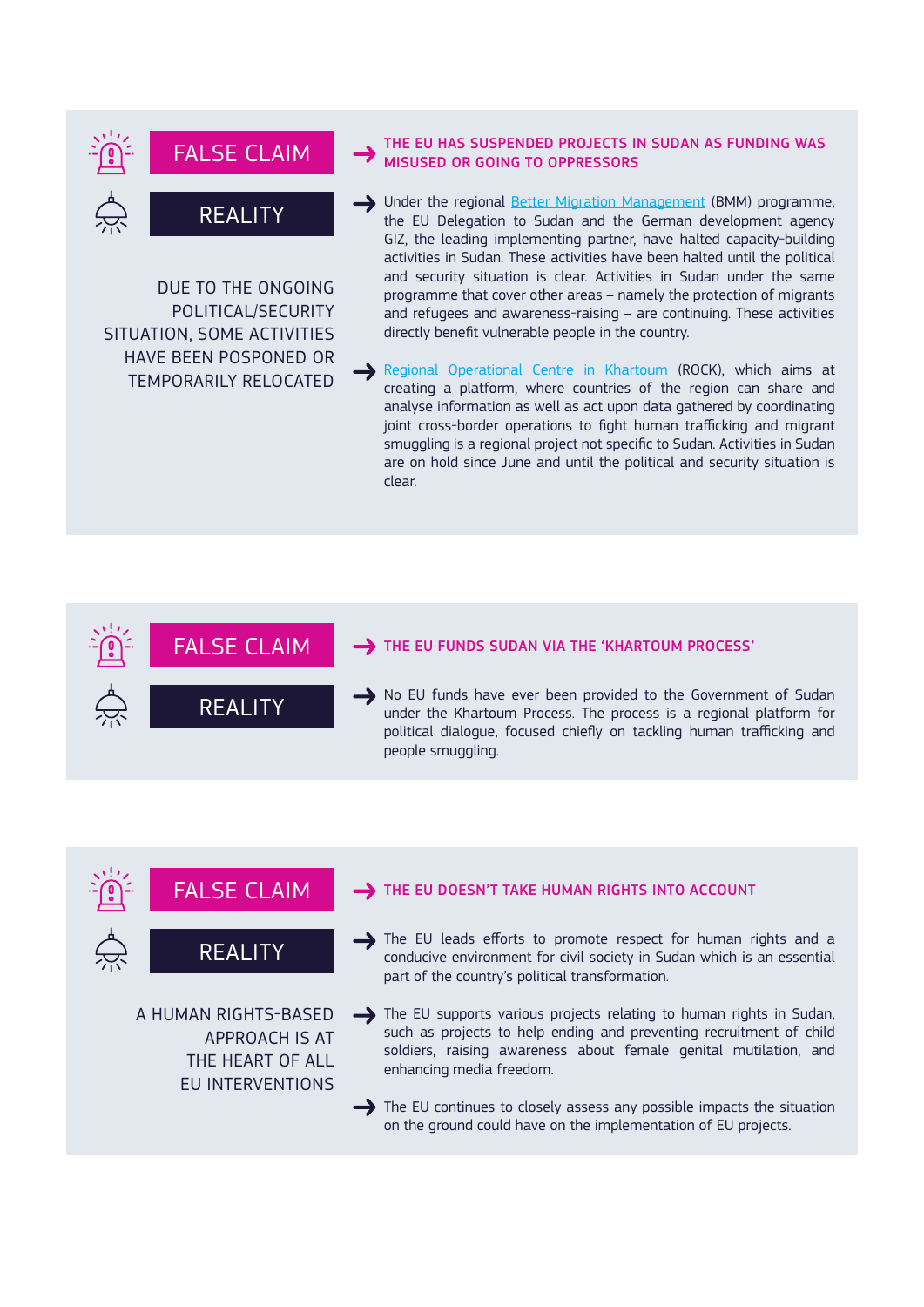

DUE TO THE ONGOING POLITICAL/SECURITY SITUATION, SOME ACTIVITIES HAVE BEEN POSPONED OR TEMPORARILY RELOCATED

REALITY

#### THE EU HAS SUSPENDED PROJECTS IN SUDAN AS FUNDING WAS MISUSED OR GOING TO OPPRESSORS

- Inder the regional **Better Migration Management** (BMM) programme, the EU Delegation to Sudan and the German development agency GIZ, the leading implementing partner, have halted capacity-building activities in Sudan. These activities have been halted until the political and security situation is clear. Activities in Sudan under the same programme that cover other areas – namely the protection of migrants and refugees and awareness-raising – are continuing. These activities directly benefit vulnerable people in the country.
- Regional Operational Centre in Khartoum (ROCK), which aims at creating a platform, where countries of the region can share and analyse information as well as act upon data gathered by coordinating joint cross-border operations to fight human trafficking and migrant smuggling is a regional project not specific to Sudan. Activities in Sudan are on hold since June and until the political and security situation is clear.

#### FALSE CLAIM THE EU FUNDS SUDAN VIA THE 'KHARTOUM PROCESS'

No EU funds have ever been provided to the Government of Sudan under the Khartoum Process. The process is a regional platform for political dialogue, focused chiefly on tackling human trafficking and people smuggling.

#### FALSE CLAIM THE EU DOESN'T TAKE HUMAN RIGHTS INTO ACCOUNT

REALITY

A HUMAN RIGHTS-BASED

APPROACH IS AT THE HEART OF ALL EU INTERVENTIONS

REALITY

 $\rightarrow$  The EU leads efforts to promote respect for human rights and a conducive environment for civil society in Sudan which is an essential part of the country's political transformation.

The EU supports various projects relating to human rights in Sudan, such as projects to help ending and preventing recruitment of child soldiers, raising awareness about female genital mutilation, and enhancing media freedom.

The EU continues to closely assess any possible impacts the situation on the ground could have on the implementation of EU projects.